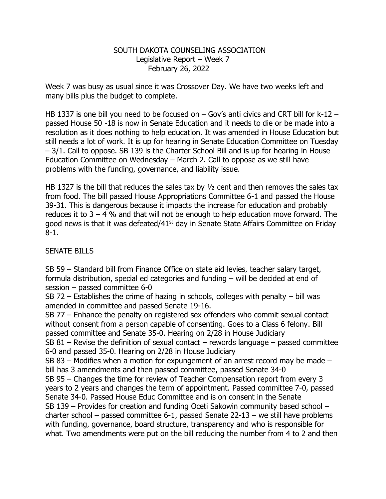## SOUTH DAKOTA COUNSELING ASSOCIATION Legislative Report – Week 7 February 26, 2022

Week 7 was busy as usual since it was Crossover Day. We have two weeks left and many bills plus the budget to complete.

HB 1337 is one bill you need to be focused on – Gov's anti civics and CRT bill for k-12 – passed House 50 -18 is now in Senate Education and it needs to die or be made into a resolution as it does nothing to help education. It was amended in House Education but still needs a lot of work. It is up for hearing in Senate Education Committee on Tuesday – 3/1. Call to oppose. SB 139 is the Charter School Bill and is up for hearing in House Education Committee on Wednesday – March 2. Call to oppose as we still have problems with the funding, governance, and liability issue.

HB 1327 is the bill that reduces the sales tax by  $\frac{1}{2}$  cent and then removes the sales tax from food. The bill passed House Appropriations Committee 6-1 and passed the House 39-31. This is dangerous because it impacts the increase for education and probably reduces it to  $3 - 4$  % and that will not be enough to help education move forward. The good news is that it was defeated/ $41<sup>st</sup>$  day in Senate State Affairs Committee on Friday 8-1.

## SENATE BILLS

SB 59 – Standard bill from Finance Office on state aid levies, teacher salary target, formula distribution, special ed categories and funding – will be decided at end of session – passed committee 6-0

SB 72 – Establishes the crime of hazing in schools, colleges with penalty – bill was amended in committee and passed Senate 19-16.

SB 77 – Enhance the penalty on registered sex offenders who commit sexual contact without consent from a person capable of consenting. Goes to a Class 6 felony. Bill passed committee and Senate 35-0. Hearing on 2/28 in House Judiciary

SB 81 – Revise the definition of sexual contact – rewords language – passed committee 6-0 and passed 35-0. Hearing on 2/28 in House Judiciary

SB 83 – Modifies when a motion for expungement of an arrest record may be made – bill has 3 amendments and then passed committee, passed Senate 34-0

SB 95 – Changes the time for review of Teacher Compensation report from every 3 years to 2 years and changes the term of appointment. Passed committee 7-0, passed Senate 34-0. Passed House Educ Committee and is on consent in the Senate SB 139 – Provides for creation and funding Oceti Sakowin community based school – charter school – passed committee 6-1, passed Senate 22-13 – we still have problems with funding, governance, board structure, transparency and who is responsible for what. Two amendments were put on the bill reducing the number from 4 to 2 and then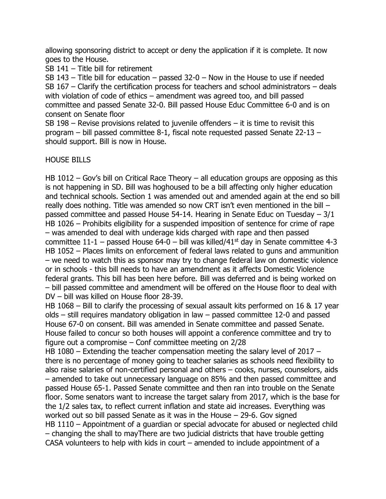allowing sponsoring district to accept or deny the application if it is complete. It now goes to the House.

SB 141 – Title bill for retirement

SB 143 – Title bill for education – passed 32-0 – Now in the House to use if needed SB 167 – Clarify the certification process for teachers and school administrators – deals with violation of code of ethics – amendment was agreed too, and bill passed committee and passed Senate 32-0. Bill passed House Educ Committee 6-0 and is on consent on Senate floor

SB 198 – Revise provisions related to juvenile offenders  $-$  it is time to revisit this program – bill passed committee 8-1, fiscal note requested passed Senate 22-13 – should support. Bill is now in House.

## HOUSE BILLS

HB 1012 – Gov's bill on Critical Race Theory – all education groups are opposing as this is not happening in SD. Bill was hoghoused to be a bill affecting only higher education and technical schools. Section 1 was amended out and amended again at the end so bill really does nothing. Title was amended so now CRT isn't even mentioned in the bill – passed committee and passed House 54-14. Hearing in Senate Educ on Tuesday – 3/1 HB 1026 – Prohibits eligibility for a suspended imposition of sentence for crime of rape – was amended to deal with underage kids charged with rape and then passed committee  $11-1$  – passed House 64-0 – bill was killed/41<sup>st</sup> day in Senate committee 4-3 HB 1052 – Places limits on enforcement of federal laws related to guns and ammunition – we need to watch this as sponsor may try to change federal law on domestic violence or in schools - this bill needs to have an amendment as it affects Domestic Violence federal grants. This bill has been here before. Bill was deferred and is being worked on – bill passed committee and amendment will be offered on the House floor to deal with DV – bill was killed on House floor 28-39.

HB 1068 – Bill to clarify the processing of sexual assault kits performed on 16 & 17 year olds – still requires mandatory obligation in law – passed committee 12-0 and passed House 67-0 on consent. Bill was amended in Senate committee and passed Senate. House failed to concur so both houses will appoint a conference committee and try to figure out a compromise – Conf committee meeting on 2/28

HB 1080 – Extending the teacher compensation meeting the salary level of 2017 – there is no percentage of money going to teacher salaries as schools need flexibility to also raise salaries of non-certified personal and others – cooks, nurses, counselors, aids – amended to take out unnecessary language on 85% and then passed committee and passed House 65-1. Passed Senate committee and then ran into trouble on the Senate floor. Some senators want to increase the target salary from 2017, which is the base for the 1/2 sales tax, to reflect current inflation and state aid increases. Everything was worked out so bill passed Senate as it was in the House – 29-6. Gov signed HB 1110 – Appointment of a quardian or special advocate for abused or neglected child – changing the shall to mayThere are two judicial districts that have trouble getting CASA volunteers to help with kids in court – amended to include appointment of a